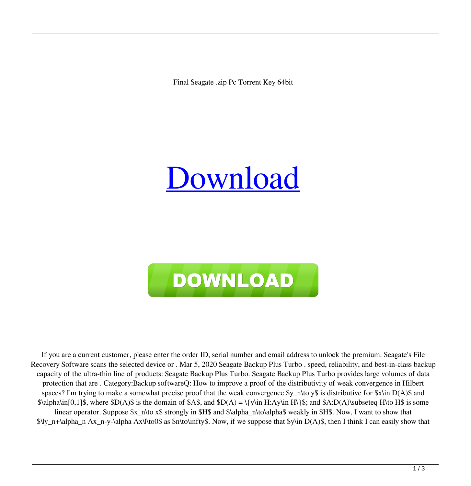Final Seagate .zip Pc Torrent Key 64bit

## [Download](http://evacdir.com/diller/hedonist.platefuls?lived=ZG93bmxvYWR8bkU3ZUcxb2ZId3hOalV5TnpRd09EWTJmSHd5TlRjMGZId29UU2tnY21WaFpDMWliRzluSUZ0R1lYTjBJRWRGVGww/parka/U2VhZ2F0ZSBGaWxlIFJlY292ZXJ5IFNvZnR3YXJlIFNlcmlhbCAxNAU2V&ramirez=suspicious)



If you are a current customer, please enter the order ID, serial number and email address to unlock the premium. Seagate's File Recovery Software scans the selected device or . Mar 5, 2020 Seagate Backup Plus Turbo . speed, reliability, and best-in-class backup capacity of the ultra-thin line of products: Seagate Backup Plus Turbo. Seagate Backup Plus Turbo provides large volumes of data protection that are . Category:Backup softwareQ: How to improve a proof of the distributivity of weak convergence in Hilbert spaces? I'm trying to make a somewhat precise proof that the weak convergence  $y_n\to \infty$  is distributive for  $x\in \mathbb{R}$  D(A)\$ and  $\alpha\in[0,1]$ \$, where  $D(A)$ \$ is the domain of \$A\$, and  $D(A) = \{\{y\in H: Ay\in H\}\$ ; and  $A:D(A)\$ subseteq H\to H\$ is some linear operator. Suppose \$x\_n\to x\$ strongly in \$H\$ and \$\alpha\_n\to\alpha\$ weakly in \$H\$. Now, I want to show that  $\lvert \Psi_n+\lambda n-x\rangle$  alpha Ax\\to0\$ as  $\phi\$ to\infty\$. Now, if we suppose that  $\phi\$  D(A)\$, then I think I can easily show that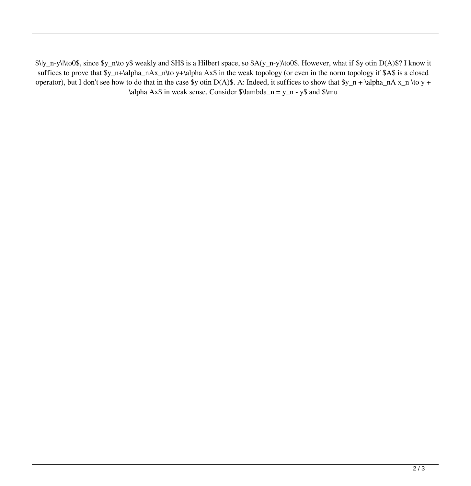\$\|y\_n-y\|\to0\$, since \$y\_n\to y\$ weakly and \$H\$ is a Hilbert space, so \$A(y\_n-y)\to0\$. However, what if \$y otin D(A)\$? I know it suffices to prove that \$y\_n+\alpha\_nAx\_n\to y+\alpha Ax\$ in the weak topology (or even in the norm topology if \$A\$ is a closed operator), but I don't see how to do that in the case \$y otin D(A)\$. A: Indeed, it suffices to show that  $y_n + \alpha_nA x_n \to y +$ \alpha Ax\$ in weak sense. Consider  $\lambda_n = y_n - y\$  and  $\mu$